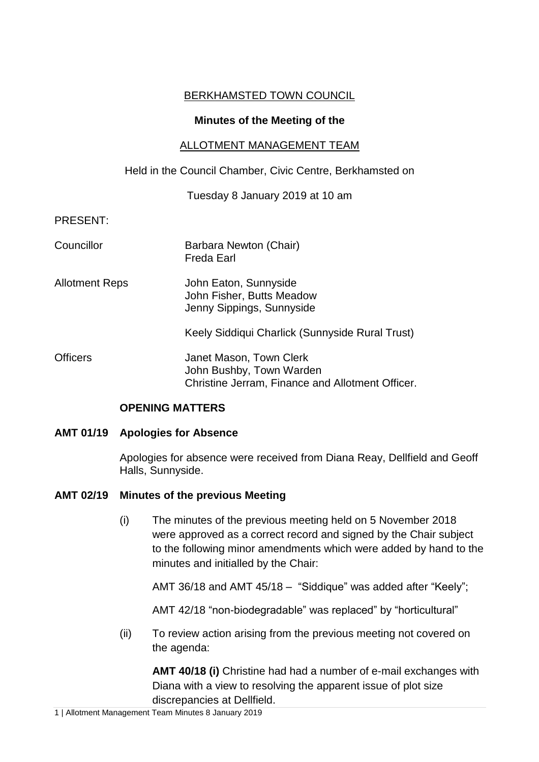# BERKHAMSTED TOWN COUNCIL

### **Minutes of the Meeting of the**

## ALLOTMENT MANAGEMENT TEAM

## Held in the Council Chamber, Civic Centre, Berkhamsted on

Tuesday 8 January 2019 at 10 am

PRESENT:

| Councillor            | Barbara Newton (Chair)<br><b>Freda Earl</b>                                                             |
|-----------------------|---------------------------------------------------------------------------------------------------------|
| <b>Allotment Reps</b> | John Eaton, Sunnyside<br>John Fisher, Butts Meadow<br>Jenny Sippings, Sunnyside                         |
|                       | Keely Siddiqui Charlick (Sunnyside Rural Trust)                                                         |
| <b>Officers</b>       | Janet Mason, Town Clerk<br>John Bushby, Town Warden<br>Christine Jerram, Finance and Allotment Officer. |

## **OPENING MATTERS**

## **AMT 01/19 Apologies for Absence**

Apologies for absence were received from Diana Reay, Dellfield and Geoff Halls, Sunnyside.

## **AMT 02/19 Minutes of the previous Meeting**

(i) The minutes of the previous meeting held on 5 November 2018 were approved as a correct record and signed by the Chair subject to the following minor amendments which were added by hand to the minutes and initialled by the Chair:

AMT 36/18 and AMT 45/18 – "Siddique" was added after "Keely";

AMT 42/18 "non-biodegradable" was replaced" by "horticultural"

(ii) To review action arising from the previous meeting not covered on the agenda:

**AMT 40/18 (i)** Christine had had a number of e-mail exchanges with Diana with a view to resolving the apparent issue of plot size discrepancies at Dellfield.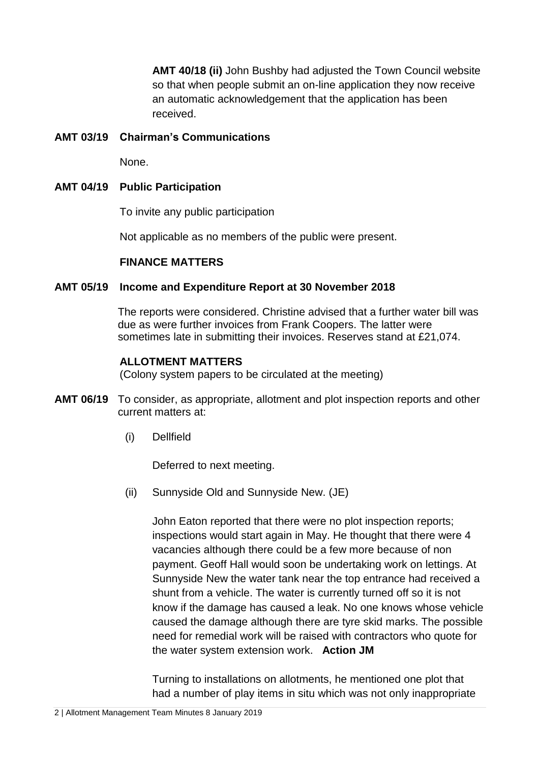**AMT 40/18 (ii)** John Bushby had adjusted the Town Council website so that when people submit an on-line application they now receive an automatic acknowledgement that the application has been received.

# **AMT 03/19 Chairman's Communications**

None.

## **AMT 04/19 Public Participation**

To invite any public participation

Not applicable as no members of the public were present.

### **FINANCE MATTERS**

## **AMT 05/19 Income and Expenditure Report at 30 November 2018**

The reports were considered. Christine advised that a further water bill was due as were further invoices from Frank Coopers. The latter were sometimes late in submitting their invoices. Reserves stand at £21,074.

### **ALLOTMENT MATTERS**

(Colony system papers to be circulated at the meeting)

- **AMT 06/19** To consider, as appropriate, allotment and plot inspection reports and other current matters at:
	- (i) Dellfield

Deferred to next meeting.

(ii) Sunnyside Old and Sunnyside New. (JE)

John Eaton reported that there were no plot inspection reports; inspections would start again in May. He thought that there were 4 vacancies although there could be a few more because of non payment. Geoff Hall would soon be undertaking work on lettings. At Sunnyside New the water tank near the top entrance had received a shunt from a vehicle. The water is currently turned off so it is not know if the damage has caused a leak. No one knows whose vehicle caused the damage although there are tyre skid marks. The possible need for remedial work will be raised with contractors who quote for the water system extension work. **Action JM** 

Turning to installations on allotments, he mentioned one plot that had a number of play items in situ which was not only inappropriate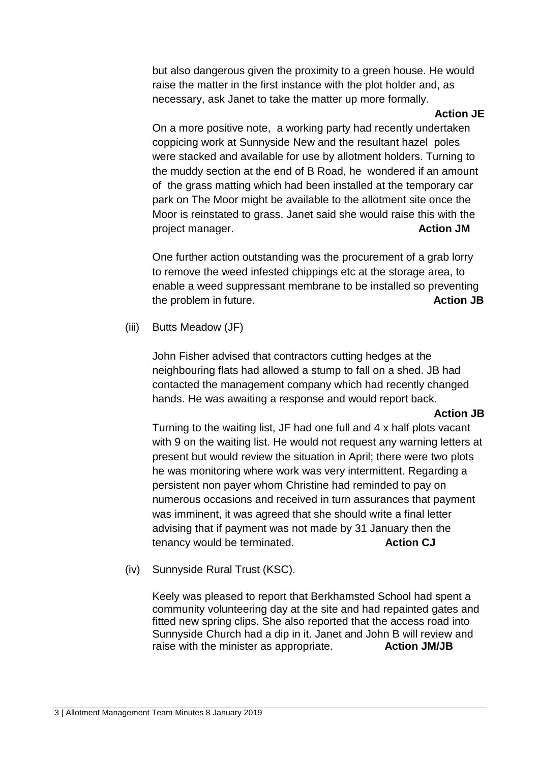but also dangerous given the proximity to a green house. He would raise the matter in the first instance with the plot holder and, as necessary, ask Janet to take the matter up more formally.

#### **Action JE**

On a more positive note, a working party had recently undertaken coppicing work at Sunnyside New and the resultant hazel poles were stacked and available for use by allotment holders. Turning to the muddy section at the end of B Road, he wondered if an amount of the grass matting which had been installed at the temporary car park on The Moor might be available to the allotment site once the Moor is reinstated to grass. Janet said she would raise this with the project manager. **Action JM**

One further action outstanding was the procurement of a grab lorry to remove the weed infested chippings etc at the storage area, to enable a weed suppressant membrane to be installed so preventing the problem in future. **Action JB**

(iii) Butts Meadow (JF)

John Fisher advised that contractors cutting hedges at the neighbouring flats had allowed a stump to fall on a shed. JB had contacted the management company which had recently changed hands. He was awaiting a response and would report back.

#### **Action JB**

Turning to the waiting list, JF had one full and 4 x half plots vacant with 9 on the waiting list. He would not request any warning letters at present but would review the situation in April; there were two plots he was monitoring where work was very intermittent. Regarding a persistent non payer whom Christine had reminded to pay on numerous occasions and received in turn assurances that payment was imminent, it was agreed that she should write a final letter advising that if payment was not made by 31 January then the tenancy would be terminated. **Action CJ** 

(iv) Sunnyside Rural Trust (KSC).

Keely was pleased to report that Berkhamsted School had spent a community volunteering day at the site and had repainted gates and fitted new spring clips. She also reported that the access road into Sunnyside Church had a dip in it. Janet and John B will review and raise with the minister as appropriate. **Action JM/JB**